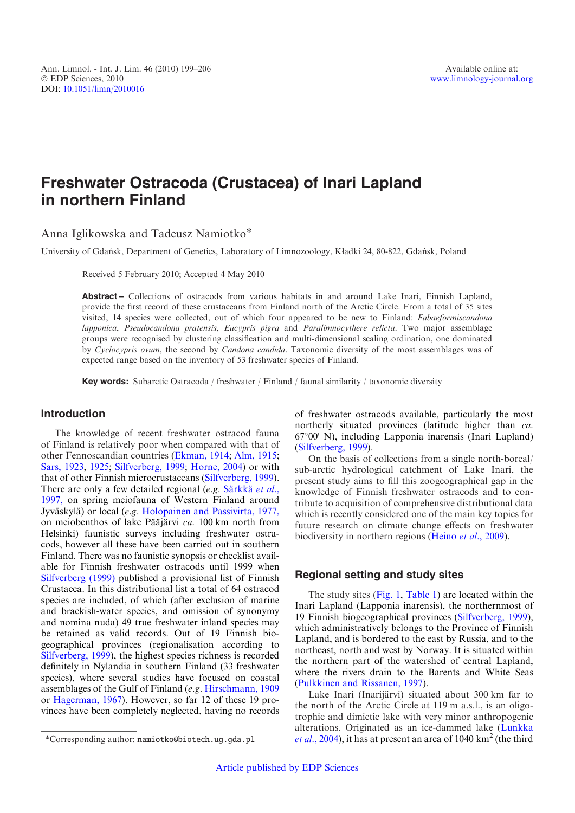# Freshwater Ostracoda (Crustacea) of Inari Lapland in northern Finland

Anna Iglikowska and Tadeusz Namiotko\*

University of Gdan´sk, Department of Genetics, Laboratory of Limnozoology, K*ł*adki 24, 80-822, Gdan´sk, Poland

Received 5 February 2010; Accepted 4 May 2010

Abstract – Collections of ostracods from various habitats in and around Lake Inari, Finnish Lapland, provide the first record of these crustaceans from Finland north of the Arctic Circle. From a total of 35 sites visited, 14 species were collected, out of which four appeared to be new to Finland: Fabaeformiscandona lapponica, Pseudocandona pratensis, Eucypris pigra and Paralimnocythere relicta. Two major assemblage groups were recognised by clustering classification and multi-dimensional scaling ordination, one dominated by Cyclocypris ovum, the second by Candona candida. Taxonomic diversity of the most assemblages was of expected range based on the inventory of 53 freshwater species of Finland.

Key words: Subarctic Ostracoda / freshwater / Finland / faunal similarity / taxonomic diversity

#### Introduction

The knowledge of recent freshwater ostracod fauna of Finland is relatively poor when compared with that of other Fennoscandian countries [\(Ekman, 1914](#page-7-0); [Alm, 1915;](#page-7-0) [Sars, 1923,](#page-7-0) [1925;](#page-7-0) [Silfverberg, 1999;](#page-7-0) [Horne, 2004](#page-7-0)) or with that of other Finnish microcrustaceans [\(Silfverberg, 1999](#page-7-0)). There are only a few detailed regional (e.g. Särkkä et al., [1997,](#page-7-0) on spring meiofauna of Western Finland around Jyväskylä) or local (e.g. [Holopainen and Passivirta, 1977,](#page-7-0) on meiobenthos of lake Pääjärvi  $ca$ . 100 km north from Helsinki) faunistic surveys including freshwater ostracods, however all these have been carried out in southern Finland. There was no faunistic synopsis or checklist available for Finnish freshwater ostracods until 1999 when [Silfverberg \(1999\)](#page-7-0) published a provisional list of Finnish Crustacea. In this distributional list a total of 64 ostracod species are included, of which (after exclusion of marine and brackish-water species, and omission of synonymy and nomina nuda) 49 true freshwater inland species may be retained as valid records. Out of 19 Finnish biogeographical provinces (regionalisation according to [Silfverberg, 1999](#page-7-0)), the highest species richness is recorded definitely in Nylandia in southern Finland (33 freshwater species), where several studies have focused on coastal assemblages of the Gulf of Finland (e.g. [Hirschmann, 1909](#page-7-0) or [Hagerman, 1967\)](#page-7-0). However, so far 12 of these 19 provinces have been completely neglected, having no records of freshwater ostracods available, particularly the most northerly situated provinces (latitude higher than ca.  $67^{\circ}00'$  N), including Lapponia inarensis (Inari Lapland) ([Silfverberg, 1999](#page-7-0)).

On the basis of collections from a single north-boreal/ sub-arctic hydrological catchment of Lake Inari, the present study aims to fill this zoogeographical gap in the knowledge of Finnish freshwater ostracods and to contribute to acquisition of comprehensive distributional data which is recently considered one of the main key topics for future research on climate change effects on freshwater biodiversity in northern regions [\(Heino](#page-7-0) et al., 2009).

### Regional setting and study sites

The study sites [\(Fig. 1](#page-1-0), [Table 1](#page-2-0)) are located within the Inari Lapland (Lapponia inarensis), the northernmost of 19 Finnish biogeographical provinces [\(Silfverberg, 1999](#page-7-0)), which administratively belongs to the Province of Finnish Lapland, and is bordered to the east by Russia, and to the northeast, north and west by Norway. It is situated within the northern part of the watershed of central Lapland, where the rivers drain to the Barents and White Seas ([Pulkkinen and Rissanen, 1997](#page-7-0)).

Lake Inari (Inarijärvi) situated about 300 km far to the north of the Arctic Circle at 119 m a.s.l., is an oligotrophic and dimictic lake with very minor anthropogenic alterations. Originated as an ice-dammed lake ([Lunkka](#page-7-0) \*Corresponding author: namiotko@biotech.ug.gda.pl  $et al., 2004$  $et al., 2004$ , it has at present an area of 1040 km<sup>2</sup> (the third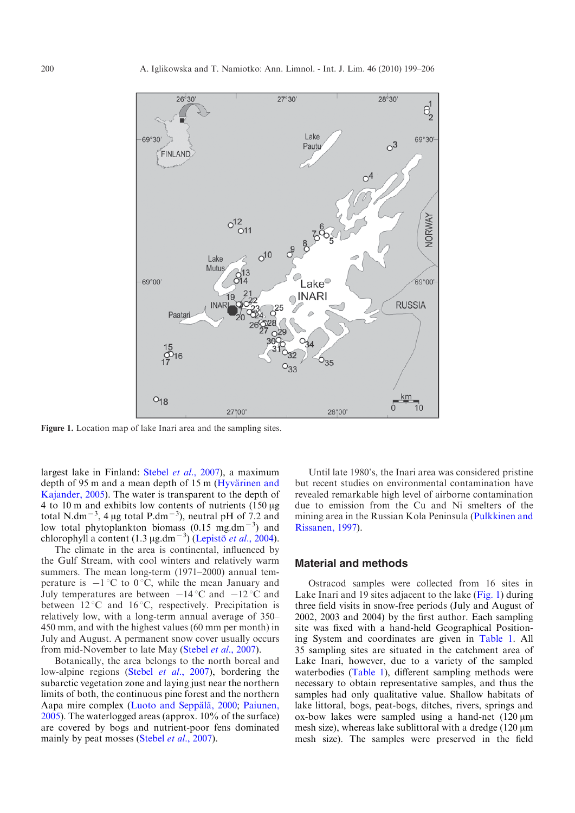<span id="page-1-0"></span>

Figure 1. Location map of lake Inari area and the sampling sites.

largest lake in Finland: Stebel et al.[, 2007\)](#page-7-0), a maximum depth of 95 m and a mean depth of 15 m (Hyvärinen and [Kajander, 2005](#page-7-0)). The water is transparent to the depth of 4 to 10 m and exhibits low contents of nutrients  $(150 \mu g)$ total N.dm<sup>-3</sup>, 4 µg total P.dm<sup>-3</sup>), neutral pH of 7.2 and low total phytoplankton biomass  $(0.15 \text{ mg.dim}^{-3})$  and chlorophyll a content  $(1.3 \mu g.dm^{-3})$  (Lepisto et al., 2004).

The climate in the area is continental, influenced by the Gulf Stream, with cool winters and relatively warm summers. The mean long-term (1971–2000) annual temperature is  $-1$  °C to 0 °C, while the mean January and July temperatures are between  $-14\degree C$  and  $-12\degree C$  and between  $12^{\circ}$ C and  $16^{\circ}$ C, respectively. Precipitation is relatively low, with a long-term annual average of 350– 450 mm, and with the highest values (60 mm per month) in July and August. A permanent snow cover usually occurs from mid-November to late May [\(Stebel](#page-7-0) et al., 2007).

Botanically, the area belongs to the north boreal and low-alpine regions (Stebel *et al.*[, 2007](#page-7-0)), bordering the subarctic vegetation zone and laying just near the northern limits of both, the continuous pine forest and the northern Aapa mire complex (Luoto and Seppälä, 2000; [Paiunen,](#page-7-0) [2005](#page-7-0)). The waterlogged areas (approx. 10% of the surface) are covered by bogs and nutrient-poor fens dominated mainly by peat mosses [\(Stebel](#page-7-0) *et al.*, 2007).

Until late 1980's, the Inari area was considered pristine but recent studies on environmental contamination have revealed remarkable high level of airborne contamination due to emission from the Cu and Ni smelters of the mining area in the Russian Kola Peninsula ([Pulkkinen and](#page-7-0) [Rissanen, 1997](#page-7-0)).

#### Material and methods

Ostracod samples were collected from 16 sites in Lake Inari and 19 sites adjacent to the lake (Fig. 1) during three field visits in snow-free periods (July and August of 2002, 2003 and 2004) by the first author. Each sampling site was fixed with a hand-held Geographical Positioning System and coordinates are given in [Table 1](#page-2-0). All 35 sampling sites are situated in the catchment area of Lake Inari, however, due to a variety of the sampled waterbodies [\(Table 1\)](#page-2-0), different sampling methods were necessary to obtain representative samples, and thus the samples had only qualitative value. Shallow habitats of lake littoral, bogs, peat-bogs, ditches, rivers, springs and ox-bow lakes were sampled using a hand-net  $(120 \mu m)$ mesh size), whereas lake sublittoral with a dredge  $(120 \mu m)$ mesh size). The samples were preserved in the field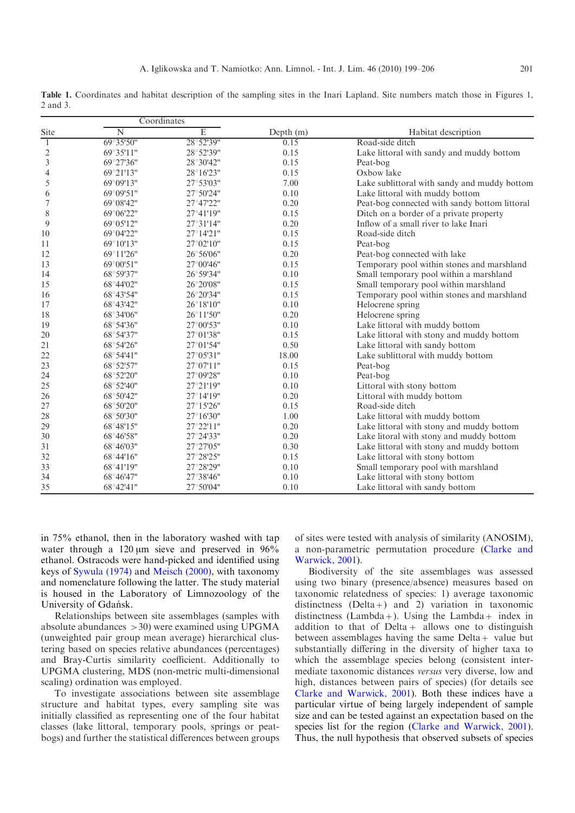<span id="page-2-0"></span>Table 1. Coordinates and habitat description of the sampling sites in the Inari Lapland. Site numbers match those in Figures 1, 2 and 3.

|                | Coordinates         |                |             |                                               |  |  |  |  |
|----------------|---------------------|----------------|-------------|-----------------------------------------------|--|--|--|--|
| Site           | N                   | $\overline{E}$ | Depth $(m)$ | Habitat description                           |  |  |  |  |
| $\mathbf{1}$   | 69°35'50"           | 28°52'39"      | 0.15        | Road-side ditch                               |  |  |  |  |
| $\frac{2}{3}$  | 69°35'11"           | 28°52'39"      | 0.15        | Lake littoral with sandy and muddy bottom     |  |  |  |  |
|                | 69°27'36"           | 28°30'42"      | 0.15        | Peat-bog                                      |  |  |  |  |
| $\overline{4}$ | 69°21'13"           | 28°16'23"      | 0.15        | Oxbow lake                                    |  |  |  |  |
| 5              | 69°09'13"           | 27°53'03"      | 7.00        | Lake sublittoral with sandy and muddy bottom  |  |  |  |  |
| 6              | 69°09'51"           | 27°50'24"      | 0.10        | Lake littoral with muddy bottom               |  |  |  |  |
| 7              | 69°08'42"           | 27°47'22"      | 0.20        | Peat-bog connected with sandy bottom littoral |  |  |  |  |
| $\,$ $\,$      | 69°06'22"           | 27°41'19"      | 0.15        | Ditch on a border of a private property       |  |  |  |  |
| 9              | 69°05'12"           | 27°31'14"      | 0.20        | Inflow of a small river to lake Inari         |  |  |  |  |
| 10             | 69°04'22"           | 27°14'21"      | 0.15        | Road-side ditch                               |  |  |  |  |
| 11             | 69°10'13"           | 27°02'10"      | 0.15        | Peat-bog                                      |  |  |  |  |
| 12             | $69^{\circ}11'26''$ | 26°56'06"      | 0.20        | Peat-bog connected with lake                  |  |  |  |  |
| 13             | 69°00'51"           | 27°00'46"      | 0.15        | Temporary pool within stones and marshland    |  |  |  |  |
| 14             | 68°59'37"           | 26°59'34"      | 0.10        | Small temporary pool within a marshland       |  |  |  |  |
| 15             | 68°44'02"           | 26°20'08"      | 0.15        | Small temporary pool within marshland         |  |  |  |  |
| 16             | 68°43'54"           | 26°20'34"      | 0.15        | Temporary pool within stones and marshland    |  |  |  |  |
| 17             | 68°43'42"           | 26°18'10"      | 0.10        | Helocrene spring                              |  |  |  |  |
| 18             | 68°34'06"           | 26°11'50"      | 0.20        | Helocrene spring                              |  |  |  |  |
| 19             | 68°54'36"           | 27°00'53"      | 0.10        | Lake littoral with muddy bottom               |  |  |  |  |
| 20             | 68°54'37"           | 27°01'38"      | 0.15        | Lake littoral with stony and muddy bottom     |  |  |  |  |
| 21             | 68°54'26"           | 27°01'54"      | 0.50        | Lake littoral with sandy bottom               |  |  |  |  |
| 22             | 68°54'41"           | 27°05'31"      | 18.00       | Lake sublittoral with muddy bottom            |  |  |  |  |
| 23             | 68°52'57"           | 27°07'11"      | 0.15        | Peat-bog                                      |  |  |  |  |
| 24             | 68°52'20"           | 27°09'28"      | 0.10        | Peat-bog                                      |  |  |  |  |
| 25             | 68°52'40"           | 27°21'19"      | 0.10        | Littoral with stony bottom                    |  |  |  |  |
| 26             | 68°50'42"           | 27°14'19"      | 0.20        | Littoral with muddy bottom                    |  |  |  |  |
| 27             | 68°50'20"           | 27°15'26"      | 0.15        | Road-side ditch                               |  |  |  |  |
| 28             | 68°50'30"           | 27°16'30"      | 1.00        | Lake littoral with muddy bottom               |  |  |  |  |
| 29             | 68°48'15"           | 27°22'11"      | 0.20        | Lake littoral with stony and muddy bottom     |  |  |  |  |
| 30             | 68°46'58"           | 27°24'33"      | 0.20        | Lake litoral with stony and muddy bottom      |  |  |  |  |
| 31             | 68°46'03"           | 27°27'05"      | 0.30        | Lake littoral with stony and muddy bottom     |  |  |  |  |
| 32             | 68°44'16"           | 27°28'25"      | 0.15        | Lake littoral with stony bottom               |  |  |  |  |
| 33             | $68^{\circ}41'19''$ | 27°28'29"      | 0.10        | Small temporary pool with marshland           |  |  |  |  |
| 34             | $68^{\circ}46'47"$  | 27°38'46"      | 0.10        | Lake littoral with stony bottom               |  |  |  |  |
| 35             | 68°42'41"           | 27°50'04"      | 0.10        | Lake littoral with sandy bottom               |  |  |  |  |

in 75% ethanol, then in the laboratory washed with tap water through a  $120 \mu m$  sieve and preserved in  $96\%$ ethanol. Ostracods were hand-picked and identified using keys of [Sywula \(1974\)](#page-7-0) and [Meisch \(2000\)](#page-7-0), with taxonomy and nomenclature following the latter. The study material is housed in the Laboratory of Limnozoology of the University of Gdańsk.

Coordinates

Relationships between site assemblages (samples with absolute abundances >30) were examined using UPGMA (unweighted pair group mean average) hierarchical clustering based on species relative abundances (percentages) and Bray-Curtis similarity coefficient. Additionally to UPGMA clustering, MDS (non-metric multi-dimensional scaling) ordination was employed.

To investigate associations between site assemblage structure and habitat types, every sampling site was initially classified as representing one of the four habitat classes (lake littoral, temporary pools, springs or peatbogs) and further the statistical differences between groups

of sites were tested with analysis of similarity (ANOSIM), a non-parametric permutation procedure ([Clarke and](#page-7-0) [Warwick, 2001](#page-7-0)).

Biodiversity of the site assemblages was assessed using two binary (presence/absence) measures based on taxonomic relatedness of species: 1) average taxonomic distinctness  $(Delta +)$  and 2) variation in taxonomic distinctness (Lambda+). Using the Lambda+ index in addition to that of  $Delta +$  allows one to distinguish between assemblages having the same  $Delta +$  value but substantially differing in the diversity of higher taxa to which the assemblage species belong (consistent intermediate taxonomic distances versus very diverse, low and high, distances between pairs of species) (for details see [Clarke and Warwick, 2001](#page-7-0)). Both these indices have a particular virtue of being largely independent of sample size and can be tested against an expectation based on the species list for the region ([Clarke and Warwick, 2001](#page-7-0)). Thus, the null hypothesis that observed subsets of species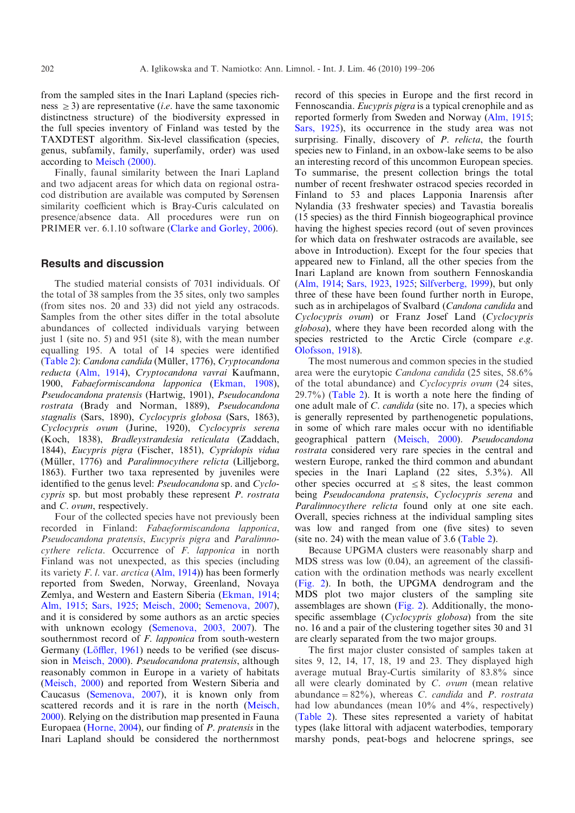from the sampled sites in the Inari Lapland (species richness  $\geq$  3) are representative (*i.e.* have the same taxonomic distinctness structure) of the biodiversity expressed in the full species inventory of Finland was tested by the TAXDTEST algorithm. Six-level classification (species, genus, subfamily, family, superfamily, order) was used according to [Meisch \(2000\)](#page-7-0).

Finally, faunal similarity between the Inari Lapland and two adjacent areas for which data on regional ostracod distribution are available was computed by Sørensen similarity coefficient which is Bray-Curis calculated on presence/absence data. All procedures were run on PRIMER ver. 6.1.10 software [\(Clarke and Gorley, 2006](#page-7-0)).

## Results and discussion

The studied material consists of 7031 individuals. Of the total of 38 samples from the 35 sites, only two samples (from sites nos. 20 and 33) did not yield any ostracods. Samples from the other sites differ in the total absolute abundances of collected individuals varying between just 1 (site no. 5) and 951 (site 8), with the mean number equalling 195. A total of 14 species were identified ([Table 2](#page-4-0)): Candona candida (Müller, 1776), Cryptocandona reducta ([Alm, 1914\)](#page-7-0), Cryptocandona vavrai Kaufmann, 1900, Fabaeformiscandona lapponica [\(Ekman, 1908](#page-7-0)), Pseudocandona pratensis (Hartwig, 1901), Pseudocandona rostrata (Brady and Norman, 1889), Pseudocandona stagnalis (Sars, 1890), Cyclocypris globosa (Sars, 1863), Cyclocypris ovum (Jurine, 1920), Cyclocypris serena (Koch, 1838), Bradleystrandesia reticulata (Zaddach, 1844), Eucypris pigra (Fischer, 1851), Cypridopis vidua (Müller, 1776) and Paralimnocythere relicta (Lilljeborg, 1863). Further two taxa represented by juveniles were identified to the genus level: Pseudocandona sp. and Cyclocypris sp. but most probably these represent P. rostrata and C. ovum, respectively.

Four of the collected species have not previously been recorded in Finland: Fabaeformiscandona lapponica, Pseudocandona pratensis, Eucypris pigra and Paralimnocythere relicta. Occurrence of F. lapponica in north Finland was not unexpected, as this species (including its variety F. l. var.  $arctica$  [\(Alm, 1914](#page-7-0))) has been formerly reported from Sweden, Norway, Greenland, Novaya Zemlya, and Western and Eastern Siberia [\(Ekman, 1914;](#page-7-0) [Alm, 1915;](#page-7-0) [Sars, 1925](#page-7-0); [Meisch, 2000;](#page-7-0) [Semenova, 2007](#page-7-0)), and it is considered by some authors as an arctic species with unknown ecology [\(Semenova, 2003, 2007](#page-7-0)). The southernmost record of *F. lapponica* from south-western Germany (Löffler, 1961) needs to be verified (see discussion in [Meisch, 2000](#page-7-0)). Pseudocandona pratensis, although reasonably common in Europe in a variety of habitats ([Meisch, 2000\)](#page-7-0) and reported from Western Siberia and Caucasus ([Semenova, 2007\)](#page-7-0), it is known only from scattered records and it is rare in the north [\(Meisch,](#page-7-0) [2000](#page-7-0)). Relying on the distribution map presented in Fauna Europaea ([Horne, 2004](#page-7-0)), our finding of P. pratensis in the Inari Lapland should be considered the northernmost

record of this species in Europe and the first record in Fennoscandia. Eucypris pigra is a typical crenophile and as reported formerly from Sweden and Norway [\(Alm, 1915;](#page-7-0) [Sars, 1925\)](#page-7-0), its occurrence in the study area was not surprising. Finally, discovery of P. relicta, the fourth species new to Finland, in an oxbow-lake seems to be also an interesting record of this uncommon European species. To summarise, the present collection brings the total number of recent freshwater ostracod species recorded in Finland to 53 and places Lapponia Inarensis after Nylandia (33 freshwater species) and Tavastia borealis (15 species) as the third Finnish biogeographical province having the highest species record (out of seven provinces for which data on freshwater ostracods are available, see above in Introduction). Except for the four species that appeared new to Finland, all the other species from the Inari Lapland are known from southern Fennoskandia ([Alm, 1914](#page-7-0); [Sars, 1923,](#page-7-0) [1925;](#page-7-0) [Silfverberg, 1999](#page-7-0)), but only three of these have been found further north in Europe, such as in archipelagos of Svalbard (Candona candida and Cyclocypris ovum) or Franz Josef Land (Cyclocypris globosa), where they have been recorded along with the species restricted to the Arctic Circle (compare e.g. [Olofsson, 1918](#page-7-0)).

The most numerous and common species in the studied area were the eurytopic Candona candida (25 sites, 58.6% of the total abundance) and Cyclocypris ovum (24 sites, 29.7%) ([Table 2\)](#page-4-0). It is worth a note here the finding of one adult male of C. candida (site no. 17), a species which is generally represented by parthenogenetic populations, in some of which rare males occur with no identifiable geographical pattern [\(Meisch, 2000\)](#page-7-0). Pseudocandona rostrata considered very rare species in the central and western Europe, ranked the third common and abundant species in the Inari Lapland (22 sites, 5.3%). All other species occurred at  $\leq 8$  sites, the least common being Pseudocandona pratensis, Cyclocypris serena and Paralimnocythere relicta found only at one site each. Overall, species richness at the individual sampling sites was low and ranged from one (five sites) to seven (site no. 24) with the mean value of  $3.6$  [\(Table 2](#page-4-0)).

Because UPGMA clusters were reasonably sharp and MDS stress was low (0.04), an agreement of the classification with the ordination methods was nearly excellent ([Fig. 2\)](#page-5-0). In both, the UPGMA dendrogram and the MDS plot two major clusters of the sampling site assemblages are shown ([Fig. 2](#page-5-0)). Additionally, the monospecific assemblage (Cyclocypris globosa) from the site no. 16 and a pair of the clustering together sites 30 and 31 are clearly separated from the two major groups.

The first major cluster consisted of samples taken at sites 9, 12, 14, 17, 18, 19 and 23. They displayed high average mutual Bray-Curtis similarity of 83.8% since all were clearly dominated by  $C.$  ovum (mean relative abundance =  $82\%$ ), whereas C. candida and P. rostrata had low abundances (mean  $10\%$  and  $4\%$ , respectively) ([Table 2](#page-4-0)). These sites represented a variety of habitat types (lake littoral with adjacent waterbodies, temporary marshy ponds, peat-bogs and helocrene springs, see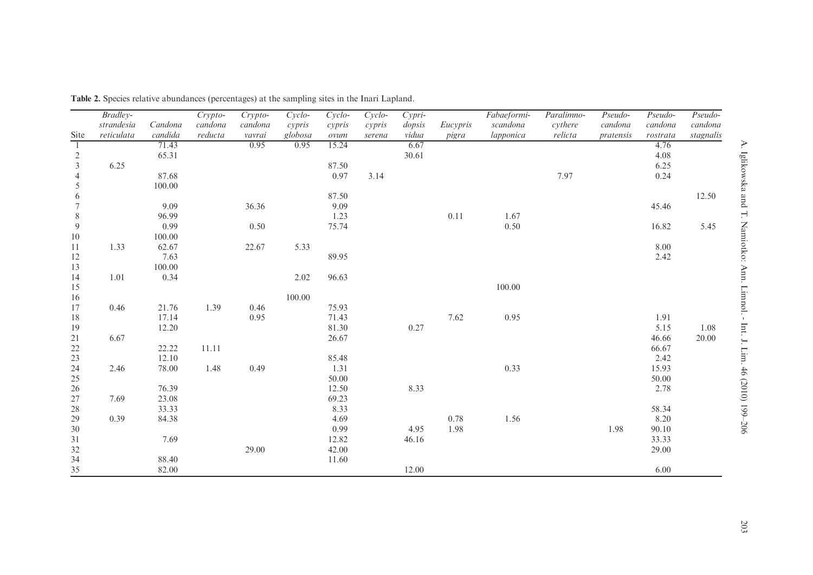|                | Bradley-                 |                    | Crypto-            | $Crypto-$         | $Cyclo-$          | $Cyclo-$       | $Cyclo$ -        | $Cypri-$        |                   | Fabaeformi-           | Paralimno-         | Pseudo-              | $Pseudo-$           | Pseudo-              |
|----------------|--------------------------|--------------------|--------------------|-------------------|-------------------|----------------|------------------|-----------------|-------------------|-----------------------|--------------------|----------------------|---------------------|----------------------|
| Site           | strandesia<br>reticulata | Candona<br>candida | candona<br>reducta | candona<br>vavrai | cypris<br>globosa | cypris<br>ovum | cypris<br>serena | dopsis<br>vidua | Eucypris<br>pigra | scandona<br>lapponica | cythere<br>relicta | candona<br>pratensis | candona<br>rostrata | candona<br>stagnalis |
| $\overline{1}$ |                          | 71.43              |                    | 0.95              | 0.95              | 15.24          |                  | 6.67            |                   |                       |                    |                      | 4.76                |                      |
| $\overline{c}$ |                          | 65.31              |                    |                   |                   |                |                  | 30.61           |                   |                       |                    |                      | 4.08                |                      |
| $\mathfrak{Z}$ | 6.25                     |                    |                    |                   |                   | 87.50          |                  |                 |                   |                       |                    |                      | 6.25                |                      |
| 4              |                          | 87.68              |                    |                   |                   | 0.97           | 3.14             |                 |                   |                       | 7.97               |                      | 0.24                |                      |
| 5              |                          | 100.00             |                    |                   |                   |                |                  |                 |                   |                       |                    |                      |                     |                      |
| 6              |                          |                    |                    |                   |                   | 87.50          |                  |                 |                   |                       |                    |                      |                     | 12.50                |
| 7              |                          | 9.09               |                    | 36.36             |                   | 9.09           |                  |                 |                   |                       |                    |                      | 45.46               |                      |
| $8\,$          |                          | 96.99              |                    |                   |                   | 1.23           |                  |                 | 0.11              | 1.67                  |                    |                      |                     |                      |
| 9              |                          | 0.99               |                    | 0.50              |                   | 75.74          |                  |                 |                   | 0.50                  |                    |                      | 16.82               | 5.45                 |
| $10\,$         |                          | 100.00             |                    |                   |                   |                |                  |                 |                   |                       |                    |                      |                     |                      |
| 11             | 1.33                     | 62.67              |                    | 22.67             | 5.33              |                |                  |                 |                   |                       |                    |                      | 8.00                |                      |
| 12             |                          | 7.63               |                    |                   |                   | 89.95          |                  |                 |                   |                       |                    |                      | 2.42                |                      |
| 13             |                          | 100.00             |                    |                   |                   |                |                  |                 |                   |                       |                    |                      |                     |                      |
| 14             | 1.01                     | 0.34               |                    |                   | 2.02              | 96.63          |                  |                 |                   |                       |                    |                      |                     |                      |
| 15             |                          |                    |                    |                   |                   |                |                  |                 |                   | 100.00                |                    |                      |                     |                      |
| 16             |                          |                    |                    |                   | 100.00            |                |                  |                 |                   |                       |                    |                      |                     |                      |
| 17             | 0.46                     | 21.76              | 1.39               | 0.46              |                   | 75.93          |                  |                 |                   |                       |                    |                      |                     |                      |
| $18\,$         |                          | 17.14              |                    | 0.95              |                   | 71.43          |                  |                 | 7.62              | 0.95                  |                    |                      | 1.91                |                      |
| 19             |                          | 12.20              |                    |                   |                   | 81.30          |                  | 0.27            |                   |                       |                    |                      | 5.15                | 1.08                 |
| 21             | 6.67                     |                    |                    |                   |                   | 26.67          |                  |                 |                   |                       |                    |                      | 46.66               | 20.00                |
| $22\,$         |                          | 22.22              | 11.11              |                   |                   |                |                  |                 |                   |                       |                    |                      | 66.67               |                      |
| 23             |                          | 12.10              |                    |                   |                   | 85.48          |                  |                 |                   |                       |                    |                      | 2.42                |                      |
| 24             | 2.46                     | 78.00              | 1.48               | 0.49              |                   | 1.31           |                  |                 |                   | 0.33                  |                    |                      | 15.93               |                      |
| 25             |                          |                    |                    |                   |                   | 50.00          |                  |                 |                   |                       |                    |                      | 50.00               |                      |
| 26             |                          | 76.39              |                    |                   |                   | 12.50          |                  | 8.33            |                   |                       |                    |                      | 2.78                |                      |
| 27             | 7.69                     | 23.08              |                    |                   |                   | 69.23          |                  |                 |                   |                       |                    |                      |                     |                      |
| 28             |                          | 33.33              |                    |                   |                   | 8.33           |                  |                 |                   |                       |                    |                      | 58.34               |                      |
| 29             | 0.39                     | 84.38              |                    |                   |                   | 4.69           |                  |                 | 0.78              | 1.56                  |                    |                      | 8.20                |                      |
| 30             |                          |                    |                    |                   |                   | 0.99           |                  | 4.95            | 1.98              |                       |                    | 1.98                 | 90.10               |                      |
| $31\,$         |                          | 7.69               |                    |                   |                   | 12.82          |                  | 46.16           |                   |                       |                    |                      | 33.33               |                      |
| $32\,$         |                          |                    |                    | 29.00             |                   | 42.00          |                  |                 |                   |                       |                    |                      | 29.00               |                      |
| $34\,$         |                          | 88.40              |                    |                   |                   | 11.60          |                  |                 |                   |                       |                    |                      |                     |                      |
| 35             |                          | 82.00              |                    |                   |                   |                |                  | 12.00           |                   |                       |                    |                      | 6.00                |                      |

<span id="page-4-0"></span>Table 2. Species relative abundances (percentages) at the sampling sites in the Inari Lapland.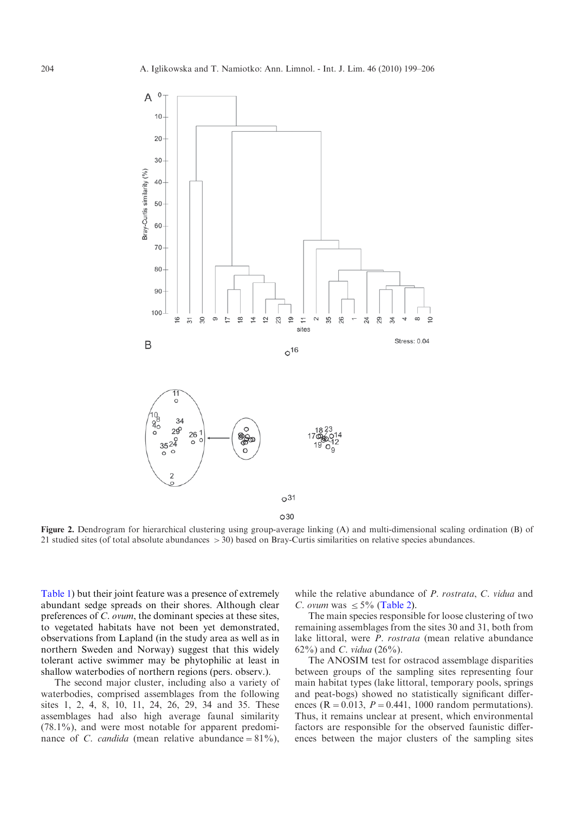<span id="page-5-0"></span>

O30

Figure 2. Dendrogram for hierarchical clustering using group-average linking (A) and multi-dimensional scaling ordination (B) of 21 studied sites (of total absolute abundances >30) based on Bray-Curtis similarities on relative species abundances.

[Table 1\)](#page-2-0) but their joint feature was a presence of extremely abundant sedge spreads on their shores. Although clear preferences of C. ovum, the dominant species at these sites, to vegetated habitats have not been yet demonstrated, observations from Lapland (in the study area as well as in northern Sweden and Norway) suggest that this widely tolerant active swimmer may be phytophilic at least in shallow waterbodies of northern regions (pers. observ.).

The second major cluster, including also a variety of waterbodies, comprised assemblages from the following sites 1, 2, 4, 8, 10, 11, 24, 26, 29, 34 and 35. These assemblages had also high average faunal similarity (78.1%), and were most notable for apparent predominance of *C. candida* (mean relative abundance =  $81\%$ ),

while the relative abundance of P. rostrata, C. vidua and C. ovum was  $\leq 5\%$  ([Table 2\)](#page-4-0).

The main species responsible for loose clustering of two remaining assemblages from the sites 30 and 31, both from lake littoral, were *P. rostrata* (mean relative abundance 62%) and *C. vidua*  $(26%).$ 

The ANOSIM test for ostracod assemblage disparities between groups of the sampling sites representing four main habitat types (lake littoral, temporary pools, springs and peat-bogs) showed no statistically significant differences ( $R = 0.013$ ,  $P = 0.441$ , 1000 random permutations). Thus, it remains unclear at present, which environmental factors are responsible for the observed faunistic differences between the major clusters of the sampling sites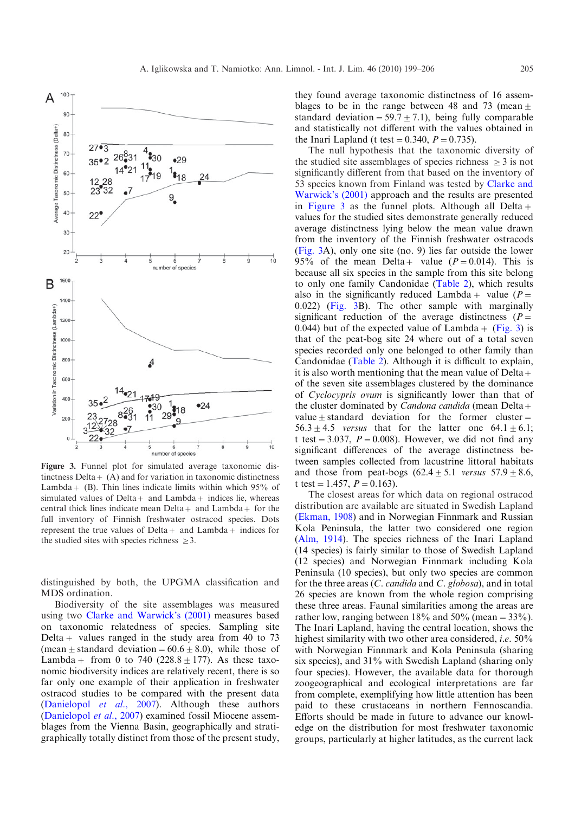

Figure 3. Funnel plot for simulated average taxonomic distinctness Delta  $+$  (A) and for variation in taxonomic distinctness Lambda +  $(B)$ . Thin lines indicate limits within which 95% of simulated values of  $Delta +$  and  $Lambda +$  indices lie, whereas central thick lines indicate mean  $Delta +$  and  $Lambda +$  for the full inventory of Finnish freshwater ostracod species. Dots represent the true values of Delta  $+$  and Lambda  $+$  indices for the studied sites with species richness  $\geq 3$ .

distinguished by both, the UPGMA classification and MDS ordination.

Biodiversity of the site assemblages was measured using two [Clarke and Warwick's \(2001\)](#page-7-0) measures based on taxonomic relatedness of species. Sampling site Delta + values ranged in the study area from 40 to 73 (mean  $\pm$  standard deviation = 60.6  $\pm$  8.0), while those of Lambda + from 0 to 740 (228.8  $\pm$  177). As these taxonomic biodiversity indices are relatively recent, there is so far only one example of their application in freshwater ostracod studies to be compared with the present data ([Danielopol](#page-7-0) et al., 2007). Although these authors ([Danielopol](#page-7-0) et al., 2007) examined fossil Miocene assemblages from the Vienna Basin, geographically and stratigraphically totally distinct from those of the present study,

they found average taxonomic distinctness of 16 assemblages to be in the range between 48 and 73 (mean  $\pm$ standard deviation =  $59.7 \pm 7.1$ ), being fully comparable and statistically not different with the values obtained in the Inari Lapland (t test =  $0.340$ ,  $P = 0.735$ ).

The null hypothesis that the taxonomic diversity of the studied site assemblages of species richness  $\geq 3$  is not significantly different from that based on the inventory of 53 species known from Finland was tested by [Clarke and](#page-7-0) [Warwick's \(2001\)](#page-7-0) approach and the results are presented in Figure 3 as the funnel plots. Although all Delta  $+$ values for the studied sites demonstrate generally reduced average distinctness lying below the mean value drawn from the inventory of the Finnish freshwater ostracods (Fig. 3A), only one site (no. 9) lies far outside the lower 95% of the mean Delta + value  $(P=0.014)$ . This is because all six species in the sample from this site belong to only one family Candonidae [\(Table 2](#page-4-0)), which results also in the significantly reduced Lambda + value ( $P=$ 0.022) (Fig. 3B). The other sample with marginally significant reduction of the average distinctness  $(P=$ 0.044) but of the expected value of Lambda + (Fig. 3) is that of the peat-bog site 24 where out of a total seven species recorded only one belonged to other family than Candonidae ([Table 2\)](#page-4-0). Although it is difficult to explain, it is also worth mentioning that the mean value of Delta  $+$ of the seven site assemblages clustered by the dominance of Cyclocypris ovum is significantly lower than that of the cluster dominated by *Candona candida* (mean Delta + value  $\pm$  standard deviation for the former cluster =  $56.3 \pm 4.5$  versus that for the latter one  $64.1 \pm 6.1$ ; t test = 3.037,  $P = 0.008$ ). However, we did not find any significant differences of the average distinctness between samples collected from lacustrine littoral habitats and those from peat-bogs  $(62.4 \pm 5.1$  versus  $57.9 \pm 8.6$ , t test = 1.457,  $P = 0.163$ ).

The closest areas for which data on regional ostracod distribution are available are situated in Swedish Lapland ([Ekman, 1908](#page-7-0)) and in Norwegian Finnmark and Russian Kola Peninsula, the latter two considered one region ([Alm, 1914\)](#page-7-0). The species richness of the Inari Lapland (14 species) is fairly similar to those of Swedish Lapland (12 species) and Norwegian Finnmark including Kola Peninsula (10 species), but only two species are common for the three areas (C. candida and C. globosa), and in total 26 species are known from the whole region comprising these three areas. Faunal similarities among the areas are rather low, ranging between  $18\%$  and  $50\%$  (mean =  $33\%$ ). The Inari Lapland, having the central location, shows the highest similarity with two other area considered, *i.e.* 50% with Norwegian Finnmark and Kola Peninsula (sharing six species), and 31% with Swedish Lapland (sharing only four species). However, the available data for thorough zoogeographical and ecological interpretations are far from complete, exemplifying how little attention has been paid to these crustaceans in northern Fennoscandia. Efforts should be made in future to advance our knowledge on the distribution for most freshwater taxonomic groups, particularly at higher latitudes, as the current lack